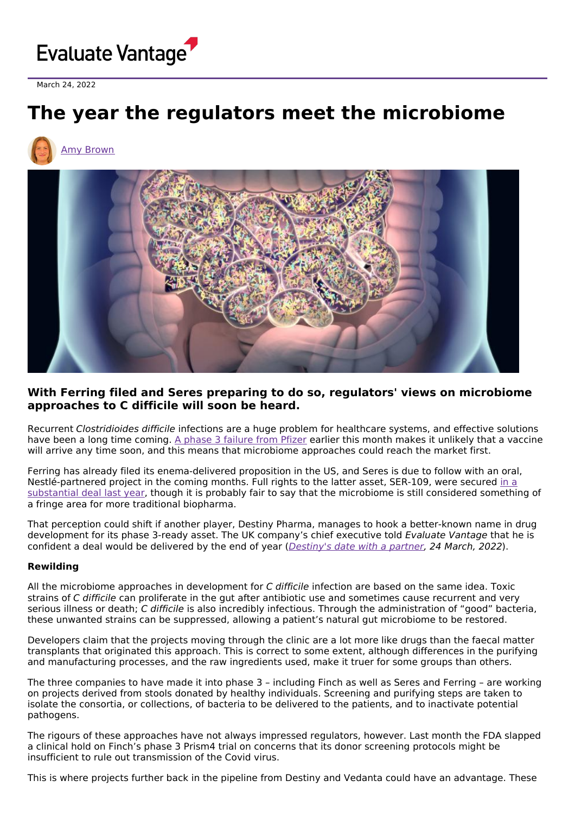

March 24, 2022

# **The year the regulators meet the microbiome**

# Amy [Brown](https://www.evaluate.com/vantage/editorial-team/amy-brown)



## **With Ferring filed and Seres preparing to do so, regulators' views on microbiome approaches to C difficile will soon be heard.**

Recurrent Clostridioides difficile infections are a huge problem for healthcare systems, and effective solutions have been a long time coming. A phase 3 [failure](https://www.evaluate.com/vantage/articles/news/trial-results-snippets/vaccine-failure-blows-hole-pfizers-pipeline) from Pfizer earlier this month makes it unlikely that a vaccine will arrive any time soon, and this means that microbiome approaches could reach the market first.

Ferring has already filed its enema-delivered proposition in the US, and Seres is due to follow with an oral, [Nestlé-partnered](https://www.evaluate.com/vantage/articles/news/snippets/rich-nestle-deals-points-high-hopes-seress-microbiome-therapy) project in the coming months. Full rights to the latter asset, SER-109, were secured in a substantial deal last year, though it is probably fair to say that the microbiome is still considered something of a fringe area for more traditional biopharma.

That perception could shift if another player, Destiny Pharma, manages to hook a better-known name in drug development for its phase 3-ready asset. The UK company's chief executive told Evaluate Vantage that he is confident a deal would be delivered by the end of year ([Destiny's](https://www.evaluate.com/vantage/articles/interviews/thurs-destinys-date-partner) date with a partner, 24 March, 2022).

#### **Rewilding**

All the microbiome approaches in development for C difficile infection are based on the same idea. Toxic strains of C difficile can proliferate in the gut after antibiotic use and sometimes cause recurrent and very serious illness or death; C difficile is also incredibly infectious. Through the administration of "good" bacteria, these unwanted strains can be suppressed, allowing a patient's natural gut microbiome to be restored.

Developers claim that the projects moving through the clinic are a lot more like drugs than the faecal matter transplants that originated this approach. This is correct to some extent, although differences in the purifying and manufacturing processes, and the raw ingredients used, make it truer for some groups than others.

The three companies to have made it into phase 3 – including Finch as well as Seres and Ferring – are working on projects derived from stools donated by healthy individuals. Screening and purifying steps are taken to isolate the consortia, or collections, of bacteria to be delivered to the patients, and to inactivate potential pathogens.

The rigours of these approaches have not always impressed regulators, however. Last month the FDA slapped a clinical hold on Finch's phase 3 Prism4 trial on concerns that its donor screening protocols might be insufficient to rule out transmission of the Covid virus.

This is where projects further back in the pipeline from Destiny and Vedanta could have an advantage. These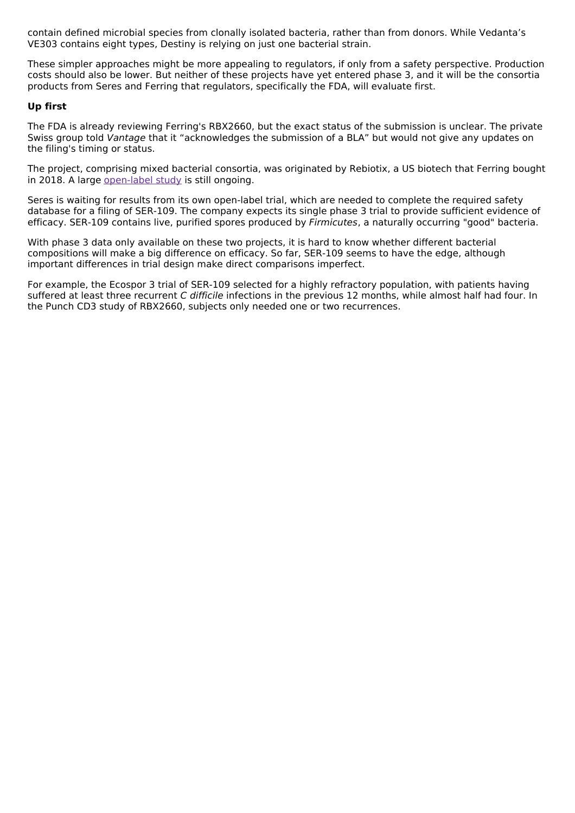contain defined microbial species from clonally isolated bacteria, rather than from donors. While Vedanta's VE303 contains eight types, Destiny is relying on just one bacterial strain.

These simpler approaches might be more appealing to regulators, if only from a safety perspective. Production costs should also be lower. But neither of these projects have yet entered phase 3, and it will be the consortia products from Seres and Ferring that regulators, specifically the FDA, will evaluate first.

#### **Up first**

The FDA is already reviewing Ferring's RBX2660, but the exact status of the submission is unclear. The private Swiss group told Vantage that it "acknowledges the submission of a BLA" but would not give any updates on the filing's timing or status.

The project, comprising mixed bacterial consortia, was originated by Rebiotix, a US biotech that Ferring bought in 2018. A large [open-label](https://clinicaltrials.gov/ct2/show/NCT03931941) study is still ongoing.

Seres is waiting for results from its own open-label trial, which are needed to complete the required safety database for a filing of SER-109. The company expects its single phase 3 trial to provide sufficient evidence of efficacy. SER-109 contains live, purified spores produced by Firmicutes, a naturally occurring "good" bacteria.

With phase 3 data only available on these two projects, it is hard to know whether different bacterial compositions will make a big difference on efficacy. So far, SER-109 seems to have the edge, although important differences in trial design make direct comparisons imperfect.

For example, the Ecospor 3 trial of SER-109 selected for a highly refractory population, with patients having suffered at least three recurrent C difficile infections in the previous 12 months, while almost half had four. In the Punch CD3 study of RBX2660, subjects only needed one or two recurrences.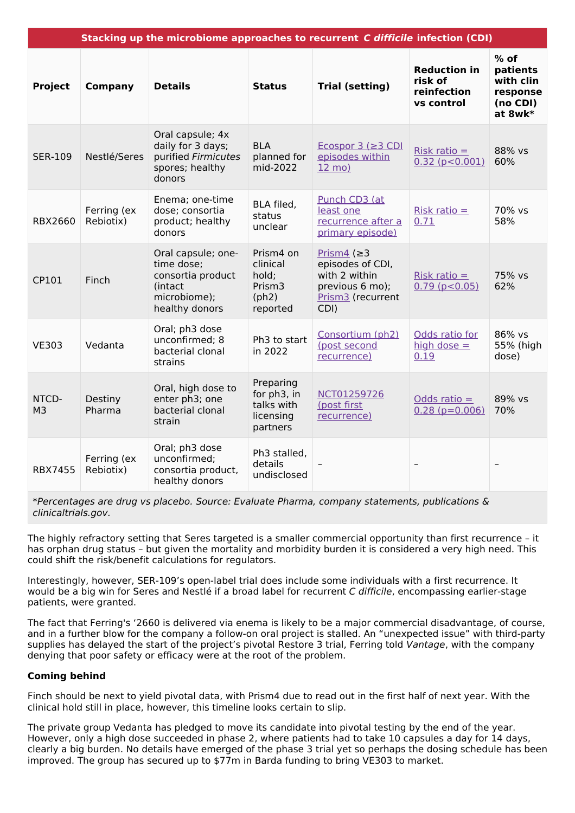| Stacking up the microbiome approaches to recurrent C difficile infection (CDI) |                          |                                                                                                    |                                                                 |                                                                                                        |                                                             |                                                                    |
|--------------------------------------------------------------------------------|--------------------------|----------------------------------------------------------------------------------------------------|-----------------------------------------------------------------|--------------------------------------------------------------------------------------------------------|-------------------------------------------------------------|--------------------------------------------------------------------|
| <b>Project</b>                                                                 | <b>Company</b>           | <b>Details</b>                                                                                     | <b>Status</b>                                                   | <b>Trial (setting)</b>                                                                                 | <b>Reduction in</b><br>risk of<br>reinfection<br>vs control | $%$ of<br>patients<br>with clin<br>response<br>(no CDI)<br>at 8wk* |
| <b>SER-109</b>                                                                 | Nestlé/Seres             | Oral capsule; 4x<br>daily for 3 days;<br>purified Firmicutes<br>spores; healthy<br>donors          | <b>BLA</b><br>planned for<br>mid-2022                           | Ecospor 3 ( $\geq$ 3 CDI<br>episodes within<br>$12 \text{ mo}$                                         | Risk ratio $=$<br>$0.32$ ( $p < 0.001$ )                    | 88% vs<br>60%                                                      |
| <b>RBX2660</b>                                                                 | Ferring (ex<br>Rebiotix) | Enema; one-time<br>dose; consortia<br>product; healthy<br>donors                                   | BLA filed,<br>status<br>unclear                                 | Punch CD3 (at<br>least one<br>recurrence after a<br>primary episode)                                   | Risk ratio $=$<br>0.71                                      | 70% vs<br>58%                                                      |
| CP101                                                                          | Finch                    | Oral capsule; one-<br>time dose;<br>consortia product<br>(intact<br>microbiome);<br>healthy donors | Prism4 on<br>clinical<br>hold;<br>Prism3<br>(ph2)<br>reported   | Prism4 ( $\geq$ 3<br>episodes of CDI,<br>with 2 within<br>previous 6 mo);<br>Prism3 (recurrent<br>CDI) | Risk ratio $=$<br>$0.79$ ( $p < 0.05$ )                     | 75% vs<br>62%                                                      |
| <b>VE303</b>                                                                   | Vedanta                  | Oral; ph3 dose<br>unconfirmed; 8<br>bacterial clonal<br>strains                                    | Ph3 to start<br>in 2022                                         | Consortium (ph2)<br>(post second<br>recurrence)                                                        | Odds ratio for<br>high dose $=$<br>0.19                     | 86% vs<br>55% (high<br>dose)                                       |
| NTCD-<br>M <sub>3</sub>                                                        | Destiny<br>Pharma        | Oral, high dose to<br>enter ph3; one<br>bacterial clonal<br>strain                                 | Preparing<br>for ph3, in<br>talks with<br>licensing<br>partners | NCT01259726<br>(post first<br>recurrence)                                                              | Odds ratio $=$<br>$0.28$ ( $p=0.006$ )                      | 89% vs<br>70%                                                      |
| <b>RBX7455</b>                                                                 | Ferring (ex<br>Rebiotix) | Oral; ph3 dose<br>unconfirmed;<br>consortia product,<br>healthy donors                             | Ph3 stalled,<br>details<br>undisclosed                          |                                                                                                        |                                                             |                                                                    |

\*Percentages are drug vs placebo. Source: Evaluate Pharma, company statements, publications & clinicaltrials.gov.

The highly refractory setting that Seres targeted is a smaller commercial opportunity than first recurrence – it has orphan drug status – but given the mortality and morbidity burden it is considered a very high need. This could shift the risk/benefit calculations for regulators.

Interestingly, however, SER-109's open-label trial does include some individuals with a first recurrence. It would be a big win for Seres and Nestlé if a broad label for recurrent C difficile, encompassing earlier-stage patients, were granted.

The fact that Ferring's '2660 is delivered via enema is likely to be a major commercial disadvantage, of course, and in a further blow for the company a follow-on oral project is stalled. An "unexpected issue" with third-party supplies has delayed the start of the project's pivotal Restore 3 trial, Ferring told Vantage, with the company denying that poor safety or efficacy were at the root of the problem.

### **Coming behind**

Finch should be next to yield pivotal data, with Prism4 due to read out in the first half of next year. With the clinical hold still in place, however, this timeline looks certain to slip.

The private group Vedanta has pledged to move its candidate into pivotal testing by the end of the year. However, only a high dose succeeded in phase 2, where patients had to take 10 capsules a day for 14 days, clearly a big burden. No details have emerged of the phase 3 trial yet so perhaps the dosing schedule has been improved. The group has secured up to \$77m in Barda funding to bring VE303 to market.